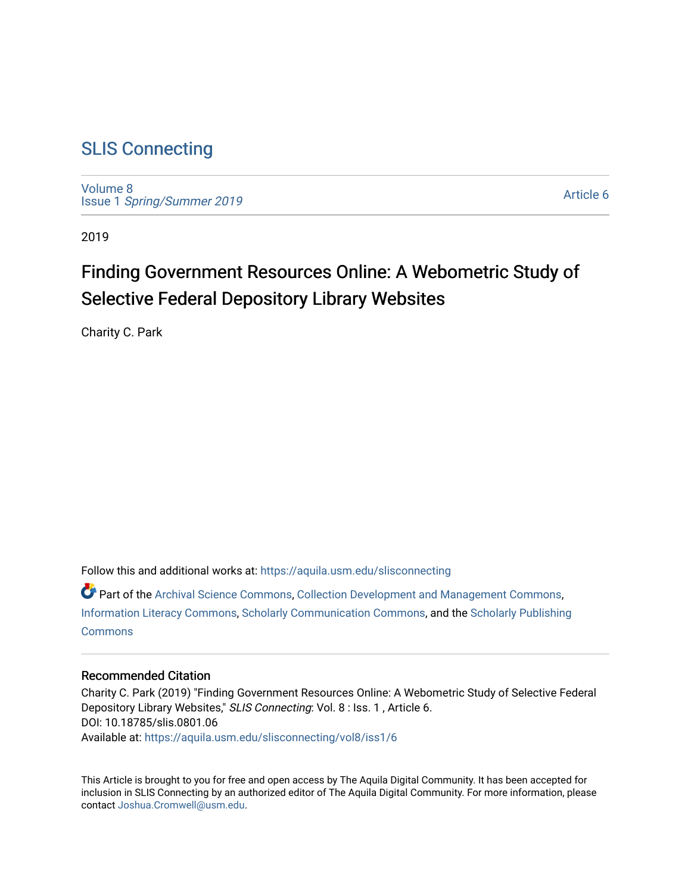# [SLIS Connecting](https://aquila.usm.edu/slisconnecting)

[Volume 8](https://aquila.usm.edu/slisconnecting/vol8) Issue 1 [Spring/Summer 2019](https://aquila.usm.edu/slisconnecting/vol8/iss1) 

[Article 6](https://aquila.usm.edu/slisconnecting/vol8/iss1/6) 

2019

# Finding Government Resources Online: A Webometric Study of Selective Federal Depository Library Websites

Charity C. Park

Follow this and additional works at: [https://aquila.usm.edu/slisconnecting](https://aquila.usm.edu/slisconnecting?utm_source=aquila.usm.edu%2Fslisconnecting%2Fvol8%2Fiss1%2F6&utm_medium=PDF&utm_campaign=PDFCoverPages) 

Part of the [Archival Science Commons,](http://network.bepress.com/hgg/discipline/1021?utm_source=aquila.usm.edu%2Fslisconnecting%2Fvol8%2Fiss1%2F6&utm_medium=PDF&utm_campaign=PDFCoverPages) [Collection Development and Management Commons,](http://network.bepress.com/hgg/discipline/1271?utm_source=aquila.usm.edu%2Fslisconnecting%2Fvol8%2Fiss1%2F6&utm_medium=PDF&utm_campaign=PDFCoverPages) [Information Literacy Commons,](http://network.bepress.com/hgg/discipline/1243?utm_source=aquila.usm.edu%2Fslisconnecting%2Fvol8%2Fiss1%2F6&utm_medium=PDF&utm_campaign=PDFCoverPages) [Scholarly Communication Commons](http://network.bepress.com/hgg/discipline/1272?utm_source=aquila.usm.edu%2Fslisconnecting%2Fvol8%2Fiss1%2F6&utm_medium=PDF&utm_campaign=PDFCoverPages), and the [Scholarly Publishing](http://network.bepress.com/hgg/discipline/1273?utm_source=aquila.usm.edu%2Fslisconnecting%2Fvol8%2Fiss1%2F6&utm_medium=PDF&utm_campaign=PDFCoverPages)  [Commons](http://network.bepress.com/hgg/discipline/1273?utm_source=aquila.usm.edu%2Fslisconnecting%2Fvol8%2Fiss1%2F6&utm_medium=PDF&utm_campaign=PDFCoverPages)

#### Recommended Citation

Charity C. Park (2019) "Finding Government Resources Online: A Webometric Study of Selective Federal Depository Library Websites," SLIS Connecting: Vol. 8 : Iss. 1 , Article 6. DOI: 10.18785/slis.0801.06 Available at: [https://aquila.usm.edu/slisconnecting/vol8/iss1/6](https://aquila.usm.edu/slisconnecting/vol8/iss1/6?utm_source=aquila.usm.edu%2Fslisconnecting%2Fvol8%2Fiss1%2F6&utm_medium=PDF&utm_campaign=PDFCoverPages)

This Article is brought to you for free and open access by The Aquila Digital Community. It has been accepted for inclusion in SLIS Connecting by an authorized editor of The Aquila Digital Community. For more information, please contact [Joshua.Cromwell@usm.edu.](mailto:Joshua.Cromwell@usm.edu)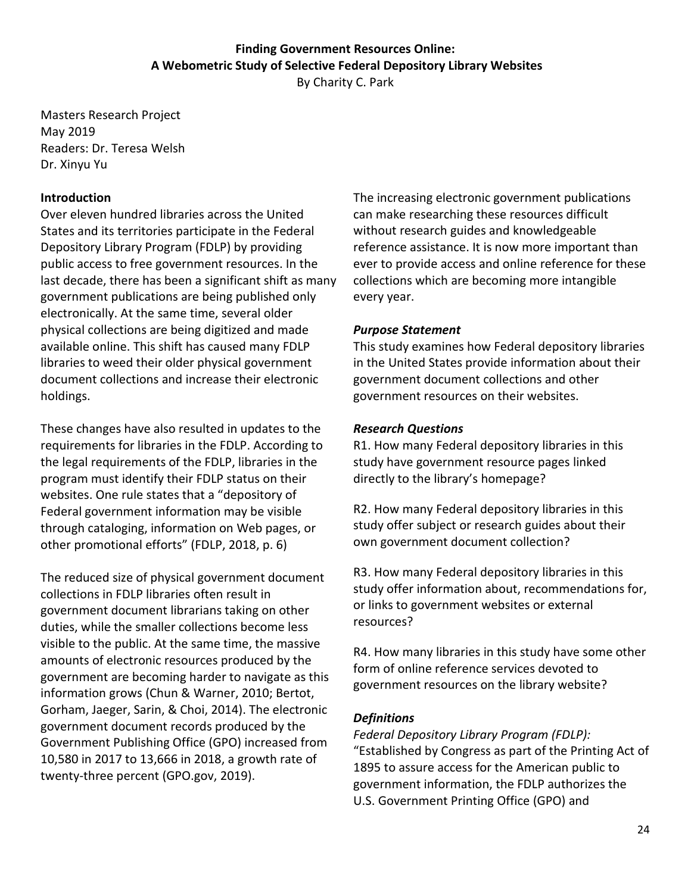# **Finding Government Resources Online: A Webometric Study of Selective Federal Depository Library Websites**

By Charity C. Park

Masters Research Project May 2019 Readers: Dr. Teresa Welsh Dr. Xinyu Yu

#### **Introduction**

Over eleven hundred libraries across the United States and its territories participate in the Federal Depository Library Program (FDLP) by providing public access to free government resources. In the last decade, there has been a significant shift as many government publications are being published only electronically. At the same time, several older physical collections are being digitized and made available online. This shift has caused many FDLP libraries to weed their older physical government document collections and increase their electronic holdings.

These changes have also resulted in updates to the requirements for libraries in the FDLP. According to the legal requirements of the FDLP, libraries in the program must identify their FDLP status on their websites. One rule states that a "depository of Federal government information may be visible through cataloging, information on Web pages, or other promotional efforts" (FDLP, 2018, p. 6)

The reduced size of physical government document collections in FDLP libraries often result in government document librarians taking on other duties, while the smaller collections become less visible to the public. At the same time, the massive amounts of electronic resources produced by the government are becoming harder to navigate as this information grows (Chun & Warner, 2010; Bertot, Gorham, Jaeger, Sarin, & Choi, 2014). The electronic government document records produced by the Government Publishing Office (GPO) increased from 10,580 in 2017 to 13,666 in 2018, a growth rate of twenty-three percent (GPO.gov, 2019).

The increasing electronic government publications can make researching these resources difficult without research guides and knowledgeable reference assistance. It is now more important than ever to provide access and online reference for these collections which are becoming more intangible every year.

#### *Purpose Statement*

This study examines how Federal depository libraries in the United States provide information about their government document collections and other government resources on their websites.

#### *Research Questions*

R1. How many Federal depository libraries in this study have government resource pages linked directly to the library's homepage?

R2. How many Federal depository libraries in this study offer subject or research guides about their own government document collection?

R3. How many Federal depository libraries in this study offer information about, recommendations for, or links to government websites or external resources?

R4. How many libraries in this study have some other form of online reference services devoted to government resources on the library website?

#### *Definitions*

*Federal Depository Library Program (FDLP):* "Established by Congress as part of the Printing Act of 1895 to assure access for the American public to government information, the FDLP authorizes the U.S. Government Printing Office (GPO) and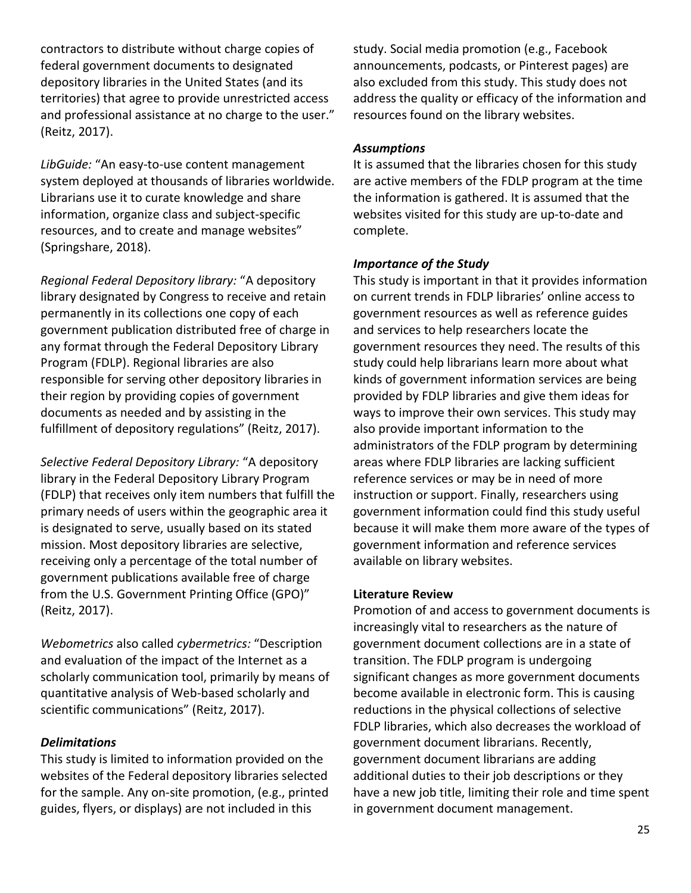contractors to distribute without charge copies of federal government documents to designated depository libraries in the United States (and its territories) that agree to provide unrestricted access and professional assistance at no charge to the user." (Reitz, 2017).

*LibGuide:* "An easy-to-use content management system deployed at thousands of libraries worldwide. Librarians use it to curate knowledge and share information, organize class and subject-specific resources, and to create and manage websites" (Springshare, 2018).

*Regional Federal Depository library:* "A depository library designated by Congress to receive and retain permanently in its collections one copy of each government publication distributed free of charge in any format through the Federal Depository Library Program (FDLP). Regional libraries are also responsible for serving other depository libraries in their region by providing copies of government documents as needed and by assisting in the fulfillment of depository regulations" (Reitz, 2017).

*Selective Federal Depository Library:* "A depository library in the Federal Depository Library Program (FDLP) that receives only item numbers that fulfill the primary needs of users within the geographic area it is designated to serve, usually based on its stated mission. Most depository libraries are selective, receiving only a percentage of the total number of government publications available free of charge from the U.S. Government Printing Office (GPO)" (Reitz, 2017).

*Webometrics* also called *cybermetrics:* "Description and evaluation of the impact of the Internet as a scholarly communication tool, primarily by means of quantitative analysis of Web-based scholarly and scientific communications" (Reitz, 2017).

#### *Delimitations*

This study is limited to information provided on the websites of the Federal depository libraries selected for the sample. Any on-site promotion, (e.g., printed guides, flyers, or displays) are not included in this

study. Social media promotion (e.g., Facebook announcements, podcasts, or Pinterest pages) are also excluded from this study. This study does not address the quality or efficacy of the information and resources found on the library websites.

#### *Assumptions*

It is assumed that the libraries chosen for this study are active members of the FDLP program at the time the information is gathered. It is assumed that the websites visited for this study are up-to-date and complete.

#### *Importance of the Study*

This study is important in that it provides information on current trends in FDLP libraries' online access to government resources as well as reference guides and services to help researchers locate the government resources they need. The results of this study could help librarians learn more about what kinds of government information services are being provided by FDLP libraries and give them ideas for ways to improve their own services. This study may also provide important information to the administrators of the FDLP program by determining areas where FDLP libraries are lacking sufficient reference services or may be in need of more instruction or support. Finally, researchers using government information could find this study useful because it will make them more aware of the types of government information and reference services available on library websites.

#### **Literature Review**

Promotion of and access to government documents is increasingly vital to researchers as the nature of government document collections are in a state of transition. The FDLP program is undergoing significant changes as more government documents become available in electronic form. This is causing reductions in the physical collections of selective FDLP libraries, which also decreases the workload of government document librarians. Recently, government document librarians are adding additional duties to their job descriptions or they have a new job title, limiting their role and time spent in government document management.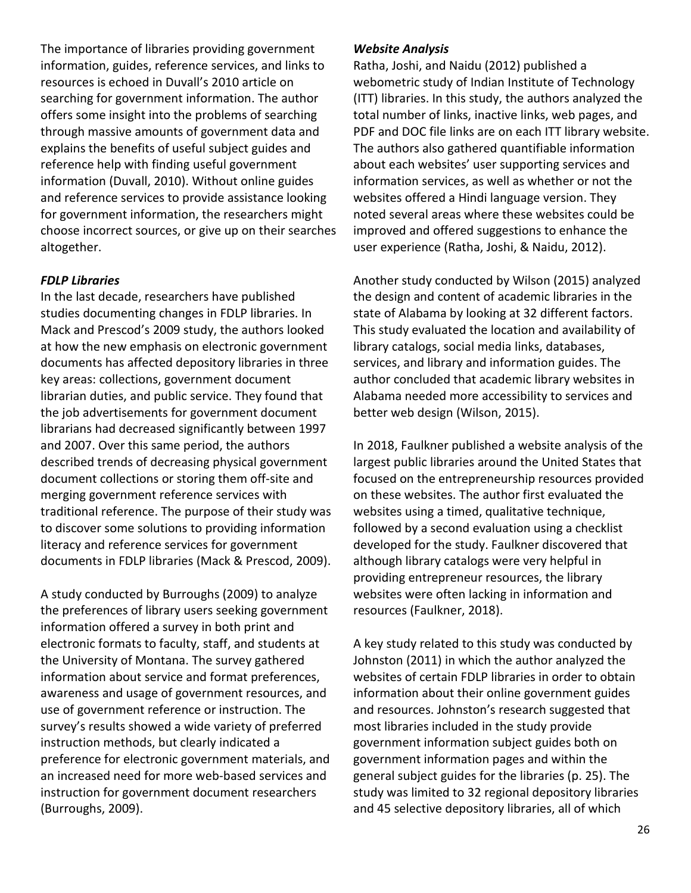The importance of libraries providing government information, guides, reference services, and links to resources is echoed in Duvall's 2010 article on searching for government information. The author offers some insight into the problems of searching through massive amounts of government data and explains the benefits of useful subject guides and reference help with finding useful government information (Duvall, 2010). Without online guides and reference services to provide assistance looking for government information, the researchers might choose incorrect sources, or give up on their searches altogether.

#### *FDLP Libraries*

In the last decade, researchers have published studies documenting changes in FDLP libraries. In Mack and Prescod's 2009 study, the authors looked at how the new emphasis on electronic government documents has affected depository libraries in three key areas: collections, government document librarian duties, and public service. They found that the job advertisements for government document librarians had decreased significantly between 1997 and 2007. Over this same period, the authors described trends of decreasing physical government document collections or storing them off-site and merging government reference services with traditional reference. The purpose of their study was to discover some solutions to providing information literacy and reference services for government documents in FDLP libraries (Mack & Prescod, 2009).

A study conducted by Burroughs (2009) to analyze the preferences of library users seeking government information offered a survey in both print and electronic formats to faculty, staff, and students at the University of Montana. The survey gathered information about service and format preferences, awareness and usage of government resources, and use of government reference or instruction. The survey's results showed a wide variety of preferred instruction methods, but clearly indicated a preference for electronic government materials, and an increased need for more web-based services and instruction for government document researchers (Burroughs, 2009).

#### *Website Analysis*

Ratha, Joshi, and Naidu (2012) published a webometric study of Indian Institute of Technology (ITT) libraries. In this study, the authors analyzed the total number of links, inactive links, web pages, and PDF and DOC file links are on each ITT library website. The authors also gathered quantifiable information about each websites' user supporting services and information services, as well as whether or not the websites offered a Hindi language version. They noted several areas where these websites could be improved and offered suggestions to enhance the user experience (Ratha, Joshi, & Naidu, 2012).

Another study conducted by Wilson (2015) analyzed the design and content of academic libraries in the state of Alabama by looking at 32 different factors. This study evaluated the location and availability of library catalogs, social media links, databases, services, and library and information guides. The author concluded that academic library websites in Alabama needed more accessibility to services and better web design (Wilson, 2015).

In 2018, Faulkner published a website analysis of the largest public libraries around the United States that focused on the entrepreneurship resources provided on these websites. The author first evaluated the websites using a timed, qualitative technique, followed by a second evaluation using a checklist developed for the study. Faulkner discovered that although library catalogs were very helpful in providing entrepreneur resources, the library websites were often lacking in information and resources (Faulkner, 2018).

A key study related to this study was conducted by Johnston (2011) in which the author analyzed the websites of certain FDLP libraries in order to obtain information about their online government guides and resources. Johnston's research suggested that most libraries included in the study provide government information subject guides both on government information pages and within the general subject guides for the libraries (p. 25). The study was limited to 32 regional depository libraries and 45 selective depository libraries, all of which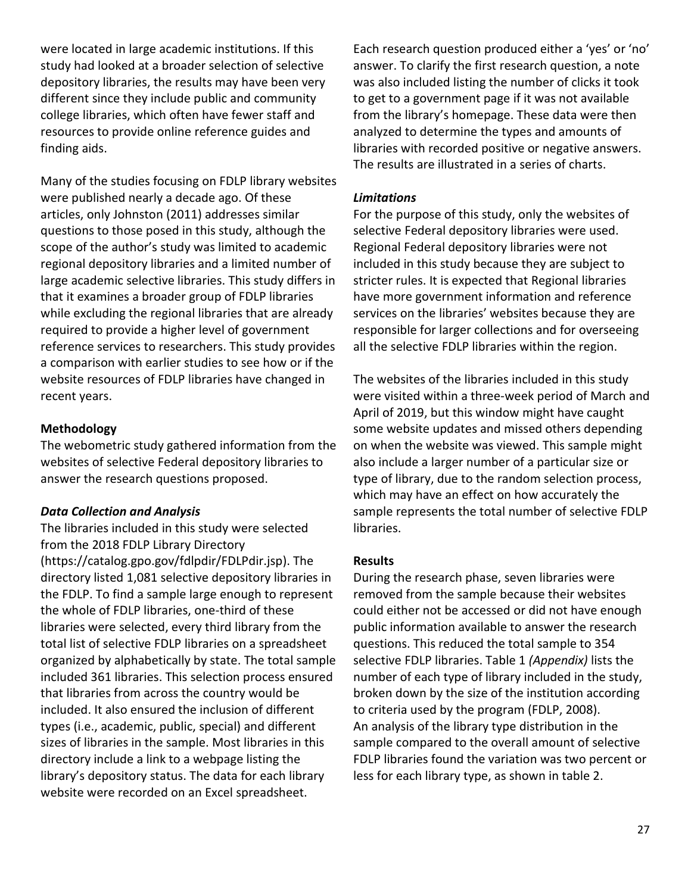were located in large academic institutions. If this study had looked at a broader selection of selective depository libraries, the results may have been very different since they include public and community college libraries, which often have fewer staff and resources to provide online reference guides and finding aids.

Many of the studies focusing on FDLP library websites were published nearly a decade ago. Of these articles, only Johnston (2011) addresses similar questions to those posed in this study, although the scope of the author's study was limited to academic regional depository libraries and a limited number of large academic selective libraries. This study differs in that it examines a broader group of FDLP libraries while excluding the regional libraries that are already required to provide a higher level of government reference services to researchers. This study provides a comparison with earlier studies to see how or if the website resources of FDLP libraries have changed in recent years.

#### **Methodology**

The webometric study gathered information from the websites of selective Federal depository libraries to answer the research questions proposed.

#### *Data Collection and Analysis*

The libraries included in this study were selected from the 2018 FDLP Library Directory (https://catalog.gpo.gov/fdlpdir/FDLPdir.jsp). The directory listed 1,081 selective depository libraries in the FDLP. To find a sample large enough to represent the whole of FDLP libraries, one-third of these libraries were selected, every third library from the total list of selective FDLP libraries on a spreadsheet organized by alphabetically by state. The total sample included 361 libraries. This selection process ensured that libraries from across the country would be included. It also ensured the inclusion of different types (i.e., academic, public, special) and different sizes of libraries in the sample. Most libraries in this directory include a link to a webpage listing the library's depository status. The data for each library website were recorded on an Excel spreadsheet.

Each research question produced either a 'yes' or 'no' answer. To clarify the first research question, a note was also included listing the number of clicks it took to get to a government page if it was not available from the library's homepage. These data were then analyzed to determine the types and amounts of libraries with recorded positive or negative answers. The results are illustrated in a series of charts.

#### *Limitations*

For the purpose of this study, only the websites of selective Federal depository libraries were used. Regional Federal depository libraries were not included in this study because they are subject to stricter rules. It is expected that Regional libraries have more government information and reference services on the libraries' websites because they are responsible for larger collections and for overseeing all the selective FDLP libraries within the region.

The websites of the libraries included in this study were visited within a three-week period of March and April of 2019, but this window might have caught some website updates and missed others depending on when the website was viewed. This sample might also include a larger number of a particular size or type of library, due to the random selection process, which may have an effect on how accurately the sample represents the total number of selective FDLP libraries.

#### **Results**

During the research phase, seven libraries were removed from the sample because their websites could either not be accessed or did not have enough public information available to answer the research questions. This reduced the total sample to 354 selective FDLP libraries. Table 1 *(Appendix)* lists the number of each type of library included in the study, broken down by the size of the institution according to criteria used by the program (FDLP, 2008). An analysis of the library type distribution in the sample compared to the overall amount of selective FDLP libraries found the variation was two percent or less for each library type, as shown in table 2.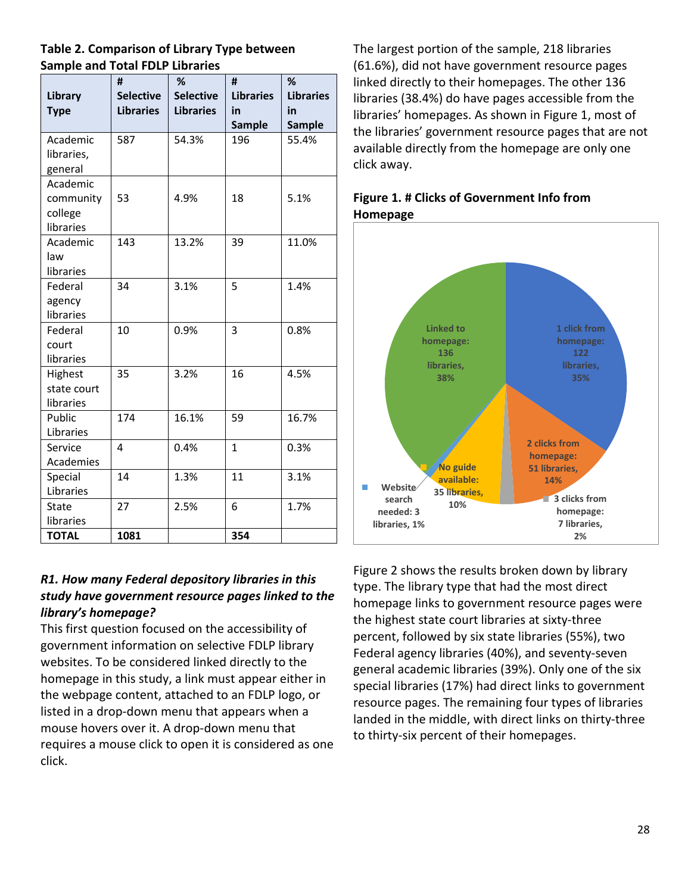### **Table 2. Comparison of Library Type between Sample and Total FDLP Libraries**

|              | #                | %                | #                | %                |
|--------------|------------------|------------------|------------------|------------------|
| Library      | <b>Selective</b> | <b>Selective</b> | <b>Libraries</b> | <b>Libraries</b> |
| <b>Type</b>  | <b>Libraries</b> | <b>Libraries</b> | in               | in               |
|              |                  |                  | <b>Sample</b>    | <b>Sample</b>    |
| Academic     | 587              | 54.3%            | 196              | 55.4%            |
| libraries,   |                  |                  |                  |                  |
| general      |                  |                  |                  |                  |
| Academic     |                  |                  |                  |                  |
| community    | 53               | 4.9%             | 18               | 5.1%             |
| college      |                  |                  |                  |                  |
| libraries    |                  |                  |                  |                  |
| Academic     | 143              | 13.2%            | 39               | 11.0%            |
| law          |                  |                  |                  |                  |
| libraries    |                  |                  |                  |                  |
| Federal      | 34               | 3.1%             | 5                | 1.4%             |
| agency       |                  |                  |                  |                  |
| libraries    |                  |                  |                  |                  |
| Federal      | 10               | 0.9%             | 3                | 0.8%             |
| court        |                  |                  |                  |                  |
| libraries    |                  |                  |                  |                  |
| Highest      | 35               | 3.2%             | 16               | 4.5%             |
| state court  |                  |                  |                  |                  |
| libraries    |                  |                  |                  |                  |
| Public       | 174              | 16.1%            | 59               | 16.7%            |
| Libraries    |                  |                  |                  |                  |
| Service      | 4                | 0.4%             | $\mathbf{1}$     | 0.3%             |
| Academies    |                  |                  |                  |                  |
| Special      | 14               | 1.3%             | 11               | 3.1%             |
| Libraries    |                  |                  |                  |                  |
| <b>State</b> | 27               | 2.5%             | 6                | 1.7%             |
| libraries    |                  |                  |                  |                  |
| <b>TOTAL</b> | 1081             |                  | 354              |                  |

# *R1. How many Federal depository libraries in this study have government resource pages linked to the library's homepage?*

This first question focused on the accessibility of government information on selective FDLP library websites. To be considered linked directly to the homepage in this study, a link must appear either in the webpage content, attached to an FDLP logo, or listed in a drop-down menu that appears when a mouse hovers over it. A drop-down menu that requires a mouse click to open it is considered as one click.

The largest portion of the sample, 218 libraries (61.6%), did not have government resource pages linked directly to their homepages. The other 136 libraries (38.4%) do have pages accessible from the libraries' homepages. As shown in Figure 1, most of the libraries' government resource pages that are not available directly from the homepage are only one click away.

# **Figure 1. # Clicks of Government Info from Homepage**



Figure 2 shows the results broken down by library type. The library type that had the most direct homepage links to government resource pages were the highest state court libraries at sixty-three percent, followed by six state libraries (55%), two Federal agency libraries (40%), and seventy-seven general academic libraries (39%). Only one of the six special libraries (17%) had direct links to government resource pages. The remaining four types of libraries landed in the middle, with direct links on thirty-three to thirty-six percent of their homepages.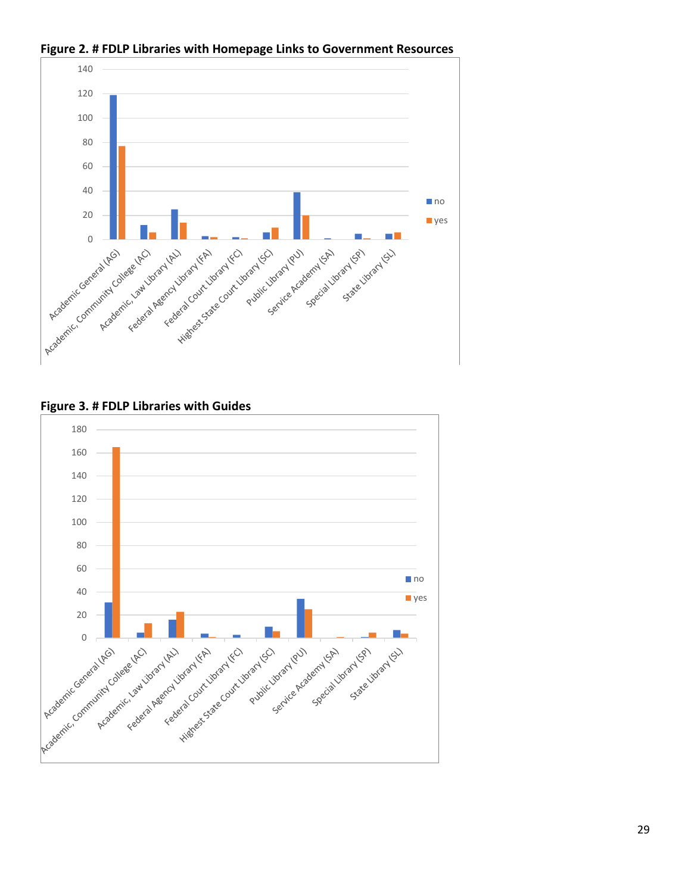

**Figure 2. # FDLP Libraries with Homepage Links to Government Resources**

**Figure 3. # FDLP Libraries with Guides**

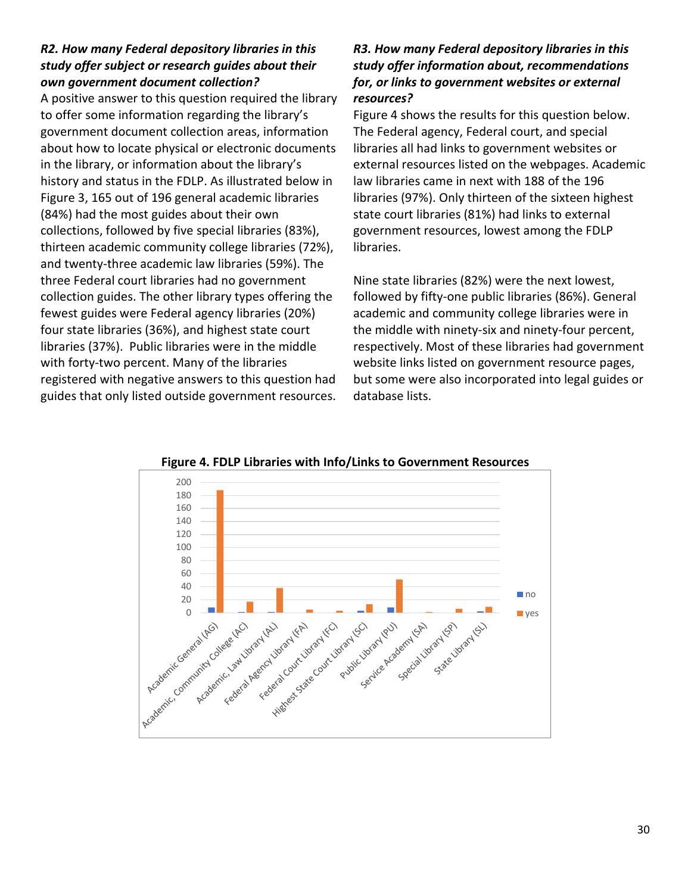### *R2. How many Federal depository libraries in this study offer subject or research guides about their own government document collection?*

A positive answer to this question required the library to offer some information regarding the library's government document collection areas, information about how to locate physical or electronic documents in the library, or information about the library's history and status in the FDLP. As illustrated below in Figure 3, 165 out of 196 general academic libraries (84%) had the most guides about their own collections, followed by five special libraries (83%), thirteen academic community college libraries (72%), and twenty-three academic law libraries (59%). The three Federal court libraries had no government collection guides. The other library types offering the fewest guides were Federal agency libraries (20%) four state libraries (36%), and highest state court libraries (37%). Public libraries were in the middle with forty-two percent. Many of the libraries registered with negative answers to this question had guides that only listed outside government resources.

### *R3. How many Federal depository libraries in this study offer information about, recommendations for, or links to government websites or external resources?*

Figure 4 shows the results for this question below. The Federal agency, Federal court, and special libraries all had links to government websites or external resources listed on the webpages. Academic law libraries came in next with 188 of the 196 libraries (97%). Only thirteen of the sixteen highest state court libraries (81%) had links to external government resources, lowest among the FDLP libraries.

Nine state libraries (82%) were the next lowest, followed by fifty-one public libraries (86%). General academic and community college libraries were in the middle with ninety-six and ninety-four percent, respectively. Most of these libraries had government website links listed on government resource pages, but some were also incorporated into legal guides or database lists.



**Figure 4. FDLP Libraries with Info/Links to Government Resources**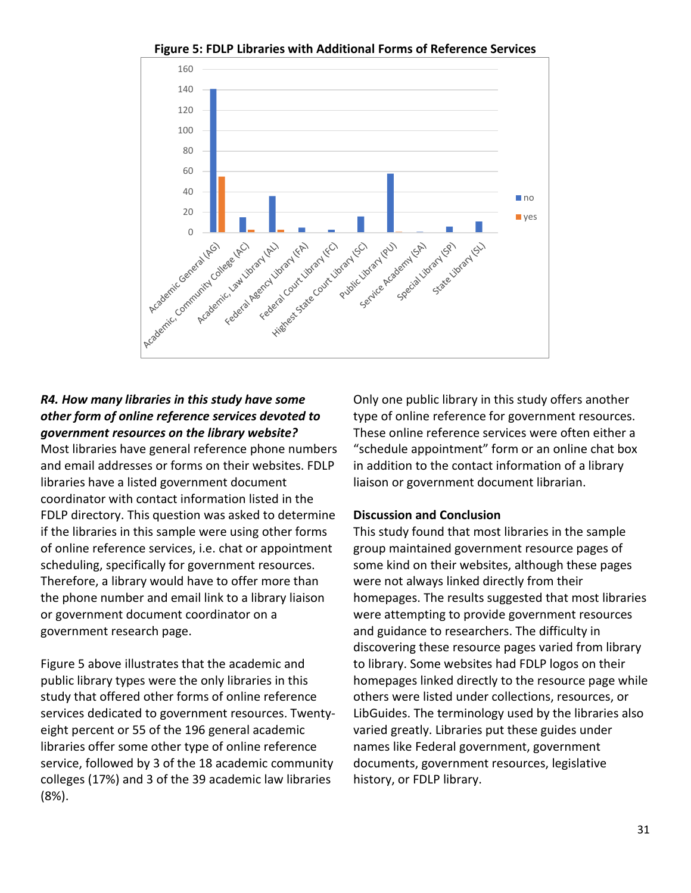

**Figure 5: FDLP Libraries with Additional Forms of Reference Services**

## *R4. How many libraries in this study have some other form of online reference services devoted to government resources on the library website?*

Most libraries have general reference phone numbers and email addresses or forms on their websites. FDLP libraries have a listed government document coordinator with contact information listed in the FDLP directory. This question was asked to determine if the libraries in this sample were using other forms of online reference services, i.e. chat or appointment scheduling, specifically for government resources. Therefore, a library would have to offer more than the phone number and email link to a library liaison or government document coordinator on a government research page.

Figure 5 above illustrates that the academic and public library types were the only libraries in this study that offered other forms of online reference services dedicated to government resources. Twentyeight percent or 55 of the 196 general academic libraries offer some other type of online reference service, followed by 3 of the 18 academic community colleges (17%) and 3 of the 39 academic law libraries (8%).

Only one public library in this study offers another type of online reference for government resources. These online reference services were often either a "schedule appointment" form or an online chat box in addition to the contact information of a library liaison or government document librarian.

#### **Discussion and Conclusion**

This study found that most libraries in the sample group maintained government resource pages of some kind on their websites, although these pages were not always linked directly from their homepages. The results suggested that most libraries were attempting to provide government resources and guidance to researchers. The difficulty in discovering these resource pages varied from library to library. Some websites had FDLP logos on their homepages linked directly to the resource page while others were listed under collections, resources, or LibGuides. The terminology used by the libraries also varied greatly. Libraries put these guides under names like Federal government, government documents, government resources, legislative history, or FDLP library.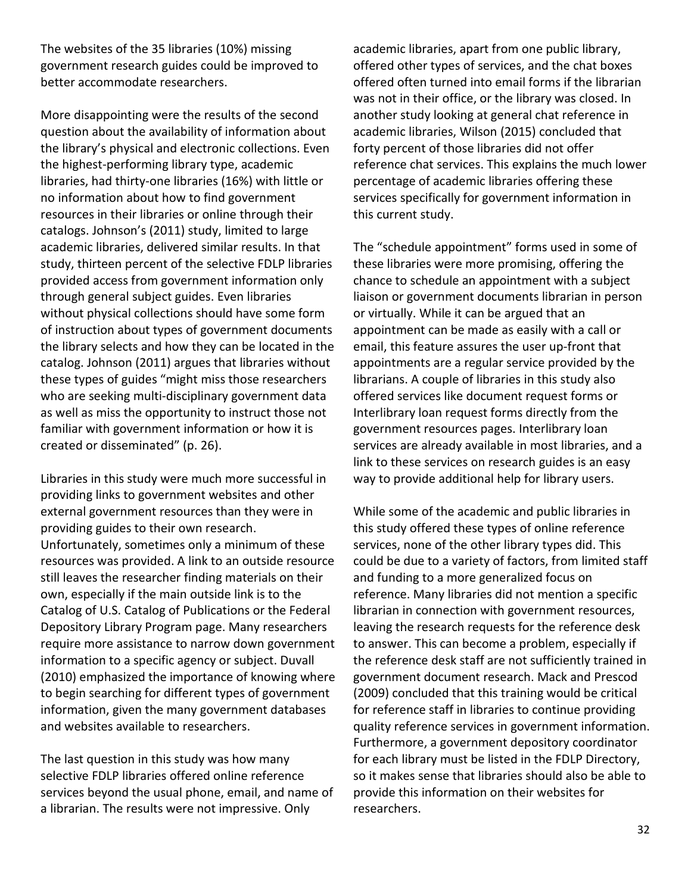The websites of the 35 libraries (10%) missing government research guides could be improved to better accommodate researchers.

More disappointing were the results of the second question about the availability of information about the library's physical and electronic collections. Even the highest-performing library type, academic libraries, had thirty-one libraries (16%) with little or no information about how to find government resources in their libraries or online through their catalogs. Johnson's (2011) study, limited to large academic libraries, delivered similar results. In that study, thirteen percent of the selective FDLP libraries provided access from government information only through general subject guides. Even libraries without physical collections should have some form of instruction about types of government documents the library selects and how they can be located in the catalog. Johnson (2011) argues that libraries without these types of guides "might miss those researchers who are seeking multi-disciplinary government data as well as miss the opportunity to instruct those not familiar with government information or how it is created or disseminated" (p. 26).

Libraries in this study were much more successful in providing links to government websites and other external government resources than they were in providing guides to their own research. Unfortunately, sometimes only a minimum of these resources was provided. A link to an outside resource still leaves the researcher finding materials on their own, especially if the main outside link is to the Catalog of U.S. Catalog of Publications or the Federal Depository Library Program page. Many researchers require more assistance to narrow down government information to a specific agency or subject. Duvall (2010) emphasized the importance of knowing where to begin searching for different types of government information, given the many government databases and websites available to researchers.

The last question in this study was how many selective FDLP libraries offered online reference services beyond the usual phone, email, and name of a librarian. The results were not impressive. Only

academic libraries, apart from one public library, offered other types of services, and the chat boxes offered often turned into email forms if the librarian was not in their office, or the library was closed. In another study looking at general chat reference in academic libraries, Wilson (2015) concluded that forty percent of those libraries did not offer reference chat services. This explains the much lower percentage of academic libraries offering these services specifically for government information in this current study.

The "schedule appointment" forms used in some of these libraries were more promising, offering the chance to schedule an appointment with a subject liaison or government documents librarian in person or virtually. While it can be argued that an appointment can be made as easily with a call or email, this feature assures the user up-front that appointments are a regular service provided by the librarians. A couple of libraries in this study also offered services like document request forms or Interlibrary loan request forms directly from the government resources pages. Interlibrary loan services are already available in most libraries, and a link to these services on research guides is an easy way to provide additional help for library users.

While some of the academic and public libraries in this study offered these types of online reference services, none of the other library types did. This could be due to a variety of factors, from limited staff and funding to a more generalized focus on reference. Many libraries did not mention a specific librarian in connection with government resources, leaving the research requests for the reference desk to answer. This can become a problem, especially if the reference desk staff are not sufficiently trained in government document research. Mack and Prescod (2009) concluded that this training would be critical for reference staff in libraries to continue providing quality reference services in government information. Furthermore, a government depository coordinator for each library must be listed in the FDLP Directory, so it makes sense that libraries should also be able to provide this information on their websites for researchers.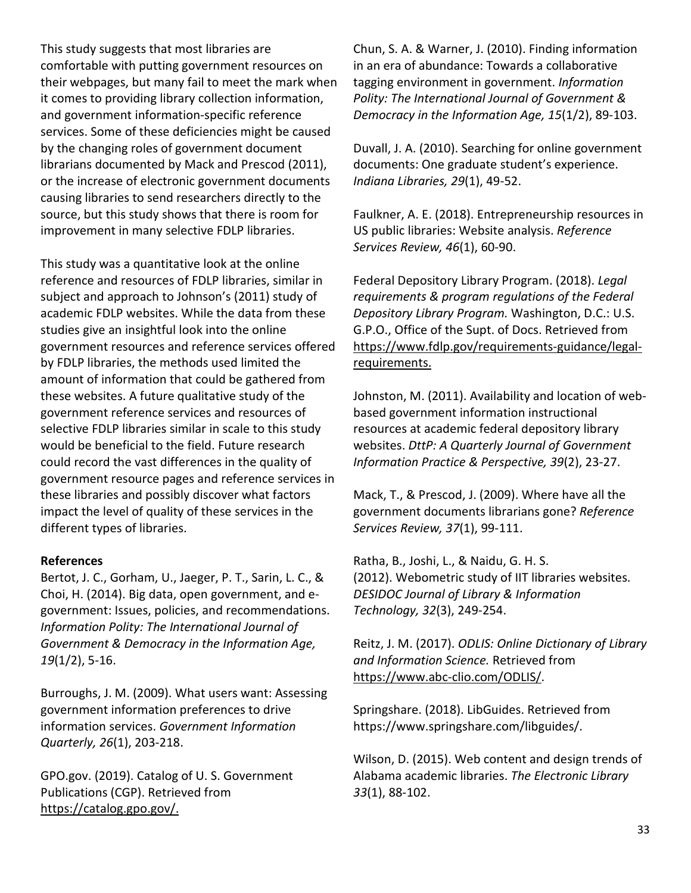This study suggests that most libraries are comfortable with putting government resources on their webpages, but many fail to meet the mark when it comes to providing library collection information, and government information-specific reference services. Some of these deficiencies might be caused by the changing roles of government document librarians documented by Mack and Prescod (2011), or the increase of electronic government documents causing libraries to send researchers directly to the source, but this study shows that there is room for improvement in many selective FDLP libraries.

This study was a quantitative look at the online reference and resources of FDLP libraries, similar in subject and approach to Johnson's (2011) study of academic FDLP websites. While the data from these studies give an insightful look into the online government resources and reference services offered by FDLP libraries, the methods used limited the amount of information that could be gathered from these websites. A future qualitative study of the government reference services and resources of selective FDLP libraries similar in scale to this study would be beneficial to the field. Future research could record the vast differences in the quality of government resource pages and reference services in these libraries and possibly discover what factors impact the level of quality of these services in the different types of libraries.

#### **References**

Bertot, J. C., Gorham, U., Jaeger, P. T., Sarin, L. C., & Choi, H. (2014). Big data, open government, and egovernment: Issues, policies, and recommendations. *Information Polity: The International Journal of Government & Democracy in the Information Age, 19*(1/2), 5-16.

Burroughs, J. M. (2009). What users want: Assessing government information preferences to drive information services. *Government Information Quarterly, 26*(1), 203-218.

GPO.gov. (2019). Catalog of U. S. Government Publications (CGP). Retrieved from [https://catalog.gpo.gov/.](https://catalog.gpo.gov/) 

Chun, S. A. & Warner, J. (2010). Finding information in an era of abundance: Towards a collaborative tagging environment in government. *Information Polity: The International Journal of Government & Democracy in the Information Age, 15*(1/2), 89-103.

Duvall, J. A. (2010). Searching for online government documents: One graduate student's experience. *Indiana Libraries, 29*(1), 49-52.

Faulkner, A. E. (2018). Entrepreneurship resources in US public libraries: Website analysis. *Reference Services Review, 46*(1), 60-90.

Federal Depository Library Program. (2018). *Legal requirements & program regulations of the Federal Depository Library Program.* Washington, D.C.: U.S. G.P.O., Office of the Supt. of Docs. Retrieved from [https://www.fdlp.gov/requirements-guidance/legal](https://www.fdlp.gov/requirements-guidance/legal-requirements)[requirements.](https://www.fdlp.gov/requirements-guidance/legal-requirements)

Johnston, M. (2011). Availability and location of webbased government information instructional resources at academic federal depository library websites. *DttP: A Quarterly Journal of Government Information Practice & Perspective, 39*(2), 23-27.

Mack, T., & Prescod, J. (2009). Where have all the government documents librarians gone? *Reference Services Review, 37*(1), 99-111.

Ratha, B., Joshi, L., & Naidu, G. H. S. (2012). Webometric study of IIT libraries websites. *DESIDOC Journal of Library & Information Technology, 32*(3), 249-254.

Reitz, J. M. (2017). *ODLIS: Online Dictionary of Library and Information Science.* Retrieved from [https://www.abc-clio.com/ODLIS/.](https://www.abc-clio.com/ODLIS/odlis_f.aspx#fdlp)

Springshare. (2018). LibGuides. Retrieved from https://www.springshare.com/libguides/.

Wilson, D. (2015). Web content and design trends of Alabama academic libraries. *The Electronic Library 33*(1), 88-102.